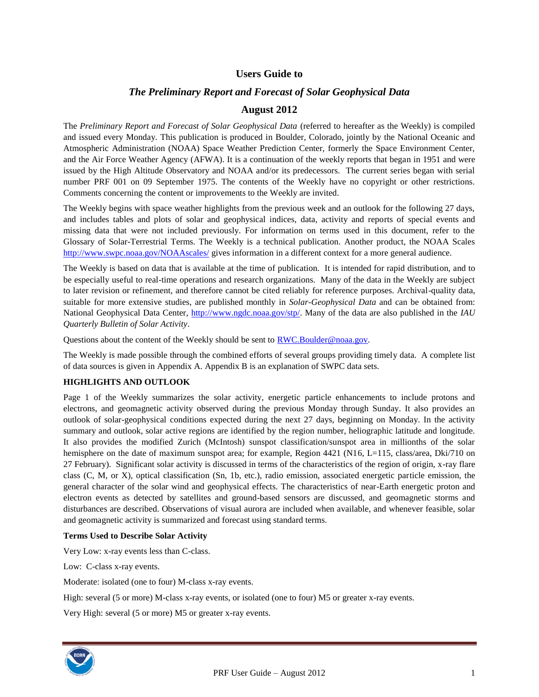# **Users Guide to**

# *The Preliminary Report and Forecast of Solar Geophysical Data*

# **August 2012**

The *Preliminary Report and Forecast of Solar Geophysical Data* (referred to hereafter as the Weekly) is compiled and issued every Monday. This publication is produced in Boulder, Colorado, jointly by the National Oceanic and Atmospheric Administration (NOAA) Space Weather Prediction Center, formerly the Space Environment Center, and the Air Force Weather Agency (AFWA). It is a continuation of the weekly reports that began in 1951 and were issued by the High Altitude Observatory and NOAA and/or its predecessors. The current series began with serial number PRF 001 on 09 September 1975. The contents of the Weekly have no copyright or other restrictions. Comments concerning the content or improvements to the Weekly are invited.

The Weekly begins with space weather highlights from the previous week and an outlook for the following 27 days, and includes tables and plots of solar and geophysical indices, data, activity and reports of special events and missing data that were not included previously. For information on terms used in this document, refer to the Glossary of Solar-Terrestrial Terms. The Weekly is a technical publication. Another product, the NOAA Scales <http://www.swpc.noaa.gov/NOAAscales/> gives information in a different context for a more general audience.

The Weekly is based on data that is available at the time of publication. It is intended for rapid distribution, and to be especially useful to real-time operations and research organizations. Many of the data in the Weekly are subject to later revision or refinement, and therefore cannot be cited reliably for reference purposes. Archival-quality data, suitable for more extensive studies, are published monthly in *Solar-Geophysical Data* and can be obtained from: National Geophysical Data Center, [http://www.ngdc.noaa.gov/stp/.](http://www.ngdc.noaa.gov/stp/) Many of the data are also published in the *IAU Quarterly Bulletin of Solar Activity*.

Questions about the content of the Weekly should be sent to [RWC.Boulder@noaa.gov.](mailto:RWC.Boulder@noaa.gov)

The Weekly is made possible through the combined efforts of several groups providing timely data. A complete list of data sources is given in Appendix A. Appendix B is an explanation of SWPC data sets.

#### **HIGHLIGHTS AND OUTLOOK**

Page 1 of the Weekly summarizes the solar activity, energetic particle enhancements to include protons and electrons, and geomagnetic activity observed during the previous Monday through Sunday. It also provides an outlook of solar-geophysical conditions expected during the next 27 days, beginning on Monday. In the activity summary and outlook, solar active regions are identified by the region number, heliographic latitude and longitude. It also provides the modified Zurich (McIntosh) sunspot classification/sunspot area in millionths of the solar hemisphere on the date of maximum sunspot area; for example, Region 4421 (N16, L=115, class/area, Dki/710 on 27 February). Significant solar activity is discussed in terms of the characteristics of the region of origin, x-ray flare class (C, M, or X), optical classification (Sn, 1b, etc.), radio emission, associated energetic particle emission, the general character of the solar wind and geophysical effects. The characteristics of near-Earth energetic proton and electron events as detected by satellites and ground-based sensors are discussed, and geomagnetic storms and disturbances are described. Observations of visual aurora are included when available, and whenever feasible, solar and geomagnetic activity is summarized and forecast using standard terms.

#### **Terms Used to Describe Solar Activity**

Very Low: x-ray events less than C-class.

Low: C-class x-ray events.

Moderate: isolated (one to four) M-class x-ray events.

High: several (5 or more) M-class x-ray events, or isolated (one to four) M5 or greater x-ray events.

Very High: several (5 or more) M5 or greater x-ray events.

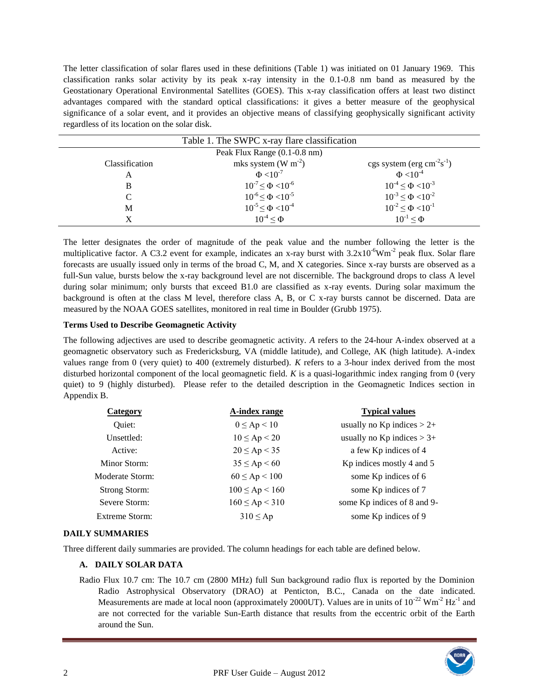The letter classification of solar flares used in these definitions (Table 1) was initiated on 01 January 1969. This classification ranks solar activity by its peak x-ray intensity in the 0.1-0.8 nm band as measured by the Geostationary Operational Environmental Satellites (GOES). This x-ray classification offers at least two distinct advantages compared with the standard optical classifications: it gives a better measure of the geophysical significance of a solar event, and it provides an objective means of classifying geophysically significant activity regardless of its location on the solar disk.

|                | Table 1. The SWPC x-ray flare classification |                                                 |
|----------------|----------------------------------------------|-------------------------------------------------|
|                | Peak Flux Range (0.1-0.8 nm)                 |                                                 |
| Classification | mks system (W $m^{-2}$ )                     | cgs system (erg $\text{cm}^{-2}\text{s}^{-1}$ ) |
| А              | $\Phi$ <10 <sup>-7</sup>                     | $\Phi$ <10 <sup>-4</sup>                        |
| B              | $10^{-7} \le \Phi < 10^{-6}$                 | $10^{-4} \le \Phi \le 10^{-3}$                  |
| C              | $10^{-6} \le \Phi < 10^{-5}$                 | $10^{-3} \le \Phi \le 10^{-2}$                  |
| М              | $10^{-5} \le \Phi < 10^{-4}$                 | $10^{-2} \le \Phi \le 10^{-1}$                  |
| X              | $10^{-4} < \Phi$                             | $10^{-1} < \Phi$                                |
|                |                                              |                                                 |

The letter designates the order of magnitude of the peak value and the number following the letter is the multiplicative factor. A C3.2 event for example, indicates an x-ray burst with  $3.2 \times 10^{-6}$ Wm<sup>-2</sup> peak flux. Solar flare forecasts are usually issued only in terms of the broad C, M, and X categories. Since x-ray bursts are observed as a full-Sun value, bursts below the x-ray background level are not discernible. The background drops to class A level during solar minimum; only bursts that exceed B1.0 are classified as x-ray events. During solar maximum the background is often at the class M level, therefore class A, B, or C x-ray bursts cannot be discerned. Data are measured by the NOAA GOES satellites, monitored in real time in Boulder (Grubb 1975).

### **Terms Used to Describe Geomagnetic Activity**

The following adjectives are used to describe geomagnetic activity. *A* refers to the 24-hour A-index observed at a geomagnetic observatory such as Fredericksburg, VA (middle latitude), and College, AK (high latitude). A-index values range from 0 (very quiet) to 400 (extremely disturbed). *K* refers to a 3-hour index derived from the most disturbed horizontal component of the local geomagnetic field. *K* is a quasi-logarithmic index ranging from 0 (very quiet) to 9 (highly disturbed). Please refer to the detailed description in the Geomagnetic Indices section in Appendix B.

| usually no $Kp$ indices $> 2+$ |
|--------------------------------|
|                                |
| usually no $Kp$ indices $> 3+$ |
| a few Kp indices of 4          |
| Kp indices mostly 4 and 5      |
| some Kp indices of 6           |
| some Kp indices of 7           |
| some Kp indices of 8 and 9-    |
| some Kp indices of 9           |
|                                |

#### **DAILY SUMMARIES**

Three different daily summaries are provided. The column headings for each table are defined below.

# **A. DAILY SOLAR DATA**

Radio Flux 10.7 cm: The 10.7 cm (2800 MHz) full Sun background radio flux is reported by the Dominion Radio Astrophysical Observatory (DRAO) at Penticton, B.C., Canada on the date indicated. Measurements are made at local noon (approximately 2000UT). Values are in units of  $10^{-22}$  Wm<sup>-2</sup> Hz<sup>-1</sup> and are not corrected for the variable Sun-Earth distance that results from the eccentric orbit of the Earth around the Sun.

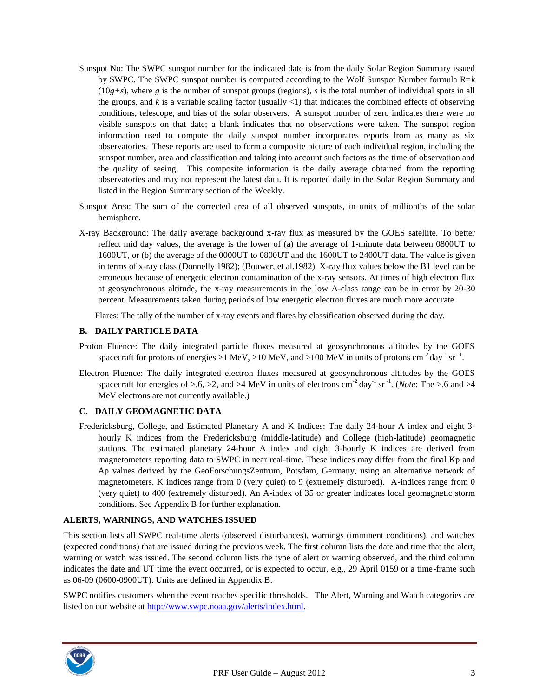- Sunspot No: The SWPC sunspot number for the indicated date is from the daily Solar Region Summary issued by SWPC. The SWPC sunspot number is computed according to the Wolf Sunspot Number formula R=*k*  $(10g+s)$ , where *g* is the number of sunspot groups (regions), *s* is the total number of individual spots in all the groups, and *k* is a variable scaling factor (usually <1) that indicates the combined effects of observing conditions, telescope, and bias of the solar observers. A sunspot number of zero indicates there were no visible sunspots on that date; a blank indicates that no observations were taken. The sunspot region information used to compute the daily sunspot number incorporates reports from as many as six observatories. These reports are used to form a composite picture of each individual region, including the sunspot number, area and classification and taking into account such factors as the time of observation and the quality of seeing. This composite information is the daily average obtained from the reporting observatories and may not represent the latest data. It is reported daily in the Solar Region Summary and listed in the Region Summary section of the Weekly.
- Sunspot Area: The sum of the corrected area of all observed sunspots, in units of millionths of the solar hemisphere.
- X-ray Background: The daily average background x-ray flux as measured by the GOES satellite. To better reflect mid day values, the average is the lower of (a) the average of 1-minute data between 0800UT to 1600UT, or (b) the average of the 0000UT to 0800UT and the 1600UT to 2400UT data. The value is given in terms of x-ray class (Donnelly 1982); (Bouwer, et al.1982). X-ray flux values below the B1 level can be erroneous because of energetic electron contamination of the x-ray sensors. At times of high electron flux at geosynchronous altitude, the x-ray measurements in the low A-class range can be in error by 20-30 percent. Measurements taken during periods of low energetic electron fluxes are much more accurate.

Flares: The tally of the number of x-ray events and flares by classification observed during the day.

#### **B. DAILY PARTICLE DATA**

- Proton Fluence: The daily integrated particle fluxes measured at geosynchronous altitudes by the GOES spacecraft for protons of energies >1 MeV, >10 MeV, and >100 MeV in units of protons cm<sup>-2</sup> day<sup>-1</sup> sr<sup>-1</sup>.
- Electron Fluence: The daily integrated electron fluxes measured at geosynchronous altitudes by the GOES spacecraft for energies of  $> 6$ ,  $> 2$ , and  $> 4$  MeV in units of electrons cm<sup>-2</sup> day<sup>-1</sup> sr<sup>-1</sup>. (*Note*: The  $> 6$  and  $> 4$ MeV electrons are not currently available.)

#### **C. DAILY GEOMAGNETIC DATA**

Fredericksburg, College, and Estimated Planetary A and K Indices: The daily 24-hour A index and eight 3 hourly K indices from the Fredericksburg (middle-latitude) and College (high-latitude) geomagnetic stations. The estimated planetary 24-hour A index and eight 3-hourly K indices are derived from magnetometers reporting data to SWPC in near real-time. These indices may differ from the final Kp and Ap values derived by the GeoForschungsZentrum, Potsdam, Germany, using an alternative network of magnetometers. K indices range from 0 (very quiet) to 9 (extremely disturbed). A-indices range from 0 (very quiet) to 400 (extremely disturbed). An A-index of 35 or greater indicates local geomagnetic storm conditions. See Appendix B for further explanation.

#### **ALERTS, WARNINGS, AND WATCHES ISSUED**

This section lists all SWPC real-time alerts (observed disturbances), warnings (imminent conditions), and watches (expected conditions) that are issued during the previous week. The first column lists the date and time that the alert, warning or watch was issued. The second column lists the type of alert or warning observed, and the third column indicates the date and UT time the event occurred, or is expected to occur, e.g., 29 April 0159 or a time-frame such as 06-09 (0600-0900UT). Units are defined in Appendix B.

SWPC notifies customers when the event reaches specific thresholds. The Alert, Warning and Watch categories are listed on our website at [http://www.swpc.noaa.gov/alerts/index.html.](http://www.swpc.noaa.gov/alerts/index.html)

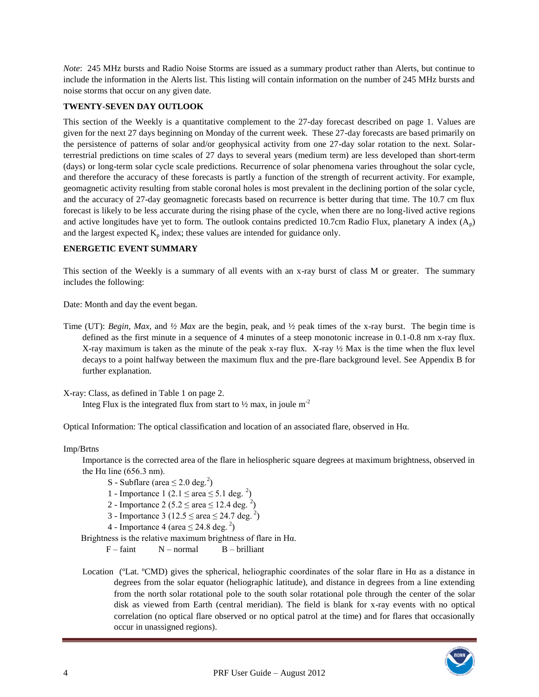*Note*: 245 MHz bursts and Radio Noise Storms are issued as a summary product rather than Alerts, but continue to include the information in the Alerts list. This listing will contain information on the number of 245 MHz bursts and noise storms that occur on any given date.

### **TWENTY-SEVEN DAY OUTLOOK**

This section of the Weekly is a quantitative complement to the 27-day forecast described on page 1. Values are given for the next 27 days beginning on Monday of the current week. These 27-day forecasts are based primarily on the persistence of patterns of solar and/or geophysical activity from one 27-day solar rotation to the next. Solarterrestrial predictions on time scales of 27 days to several years (medium term) are less developed than short-term (days) or long-term solar cycle scale predictions. Recurrence of solar phenomena varies throughout the solar cycle, and therefore the accuracy of these forecasts is partly a function of the strength of recurrent activity. For example, geomagnetic activity resulting from stable coronal holes is most prevalent in the declining portion of the solar cycle, and the accuracy of 27-day geomagnetic forecasts based on recurrence is better during that time. The 10.7 cm flux forecast is likely to be less accurate during the rising phase of the cycle, when there are no long-lived active regions and active longitudes have yet to form. The outlook contains predicted 10.7cm Radio Flux, planetary A index  $(A_p)$ and the largest expected  $K_p$  index; these values are intended for guidance only.

#### **ENERGETIC EVENT SUMMARY**

This section of the Weekly is a summary of all events with an x-ray burst of class M or greater. The summary includes the following:

Date: Month and day the event began.

Time (UT): *Begin, Max,* and *½ Max* are the begin, peak, and ½ peak times of the x-ray burst. The begin time is defined as the first minute in a sequence of 4 minutes of a steep monotonic increase in 0.1-0.8 nm x-ray flux. X-ray maximum is taken as the minute of the peak x-ray flux. X-ray ½ Max is the time when the flux level decays to a point halfway between the maximum flux and the pre-flare background level. See Appendix B for further explanation.

X-ray: Class, as defined in Table 1 on page 2.

Integ Flux is the integrated flux from start to  $\frac{1}{2}$  max, in joule m<sup>-2</sup>

Optical Information: The optical classification and location of an associated flare, observed in Hα.

Imp/Brtns

Importance is the corrected area of the flare in heliospheric square degrees at maximum brightness, observed in the H $\alpha$  line (656.3 nm).

- S Subflare (area  $\leq 2.0$  deg.<sup>2</sup>)
- 1 Importance 1 (2.1  $\leq$  area  $\leq$  5.1 deg. <sup>2</sup>)
- 2 Importance 2 (5.2  $\le$  area  $\le$  12.4 deg. <sup>2</sup>)
- 3 Importance 3 (12.5  $\le$  area  $\le$  24.7 deg. <sup>2</sup>)
- 4 Importance 4 (area  $\leq$  24.8 deg.<sup>2</sup>)
- Brightness is the relative maximum brightness of flare in Hα.
	- $F faint$   $N normal$   $B brilliant$
- Location (°Lat. °CMD) gives the spherical, heliographic coordinates of the solar flare in H $\alpha$  as a distance in degrees from the solar equator (heliographic latitude), and distance in degrees from a line extending from the north solar rotational pole to the south solar rotational pole through the center of the solar disk as viewed from Earth (central meridian). The field is blank for x-ray events with no optical correlation (no optical flare observed or no optical patrol at the time) and for flares that occasionally occur in unassigned regions).

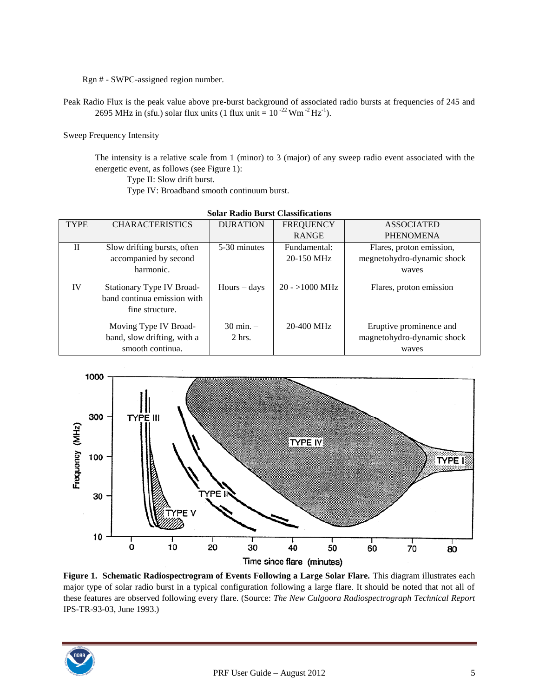Rgn # - SWPC-assigned region number.

Peak Radio Flux is the peak value above pre-burst background of associated radio bursts at frequencies of 245 and 2695 MHz in (sfu.) solar flux units (1 flux unit =  $10^{-22}$  Wm<sup>-2</sup> Hz<sup>-1</sup>).

Sweep Frequency Intensity

The intensity is a relative scale from 1 (minor) to 3 (major) of any sweep radio event associated with the energetic event, as follows (see Figure 1):

Type II: Slow drift burst.

Type IV: Broadband smooth continuum burst.

|              |                                                                             | ошаг кашу ригы славнисациин     |                         |                                                                |  |
|--------------|-----------------------------------------------------------------------------|---------------------------------|-------------------------|----------------------------------------------------------------|--|
| <b>TYPE</b>  | <b>CHARACTERISTICS</b>                                                      | <b>DURATION</b>                 | <b>FREQUENCY</b>        | <b>ASSOCIATED</b>                                              |  |
|              |                                                                             |                                 | <b>RANGE</b>            | <b>PHENOMENA</b>                                               |  |
| $\mathbf{I}$ | Slow drifting bursts, often                                                 | 5-30 minutes                    | Fundamental:            | Flares, proton emission,                                       |  |
|              | accompanied by second                                                       |                                 | $20-150$ MHz            | megnetohydro-dynamic shock                                     |  |
|              | harmonic.                                                                   |                                 |                         | waves                                                          |  |
| IV           | Stationary Type IV Broad-<br>band continua emission with<br>fine structure. | $Hours - days$                  | $20 - 1000 \text{ MHz}$ | Flares, proton emission                                        |  |
|              | Moving Type IV Broad-<br>band, slow drifting, with a<br>smooth continua.    | $30 \text{ min.} -$<br>$2$ hrs. | $20-400$ MHz            | Eruptive prominence and<br>magnetohydro-dynamic shock<br>waves |  |

**Solar Radio Burst Classifications**



**Figure 1. Schematic Radiospectrogram of Events Following a Large Solar Flare.** This diagram illustrates each major type of solar radio burst in a typical configuration following a large flare. It should be noted that not all of these features are observed following every flare. (Source: *The New Culgoora Radiospectrograph Technical Report* IPS-TR-93-03, June 1993.)

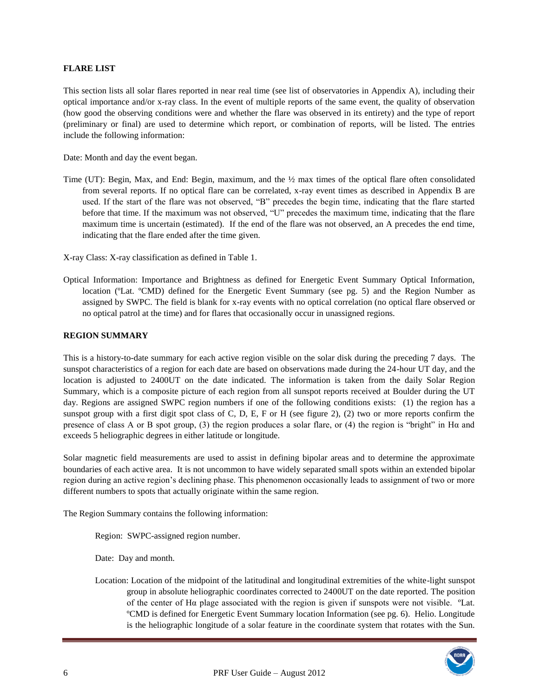### **FLARE LIST**

This section lists all solar flares reported in near real time (see list of observatories in Appendix A), including their optical importance and/or x-ray class. In the event of multiple reports of the same event, the quality of observation (how good the observing conditions were and whether the flare was observed in its entirety) and the type of report (preliminary or final) are used to determine which report, or combination of reports, will be listed. The entries include the following information:

Date: Month and day the event began.

Time (UT): Begin, Max, and End: Begin, maximum, and the ½ max times of the optical flare often consolidated from several reports. If no optical flare can be correlated, x-ray event times as described in Appendix B are used. If the start of the flare was not observed, "B" precedes the begin time, indicating that the flare started before that time. If the maximum was not observed, "U" precedes the maximum time, indicating that the flare maximum time is uncertain (estimated). If the end of the flare was not observed, an A precedes the end time, indicating that the flare ended after the time given.

X-ray Class: X-ray classification as defined in Table 1.

Optical Information: Importance and Brightness as defined for Energetic Event Summary Optical Information, location (<sup>o</sup>Lat. <sup>o</sup>CMD) defined for the Energetic Event Summary (see pg. 5) and the Region Number as assigned by SWPC. The field is blank for x-ray events with no optical correlation (no optical flare observed or no optical patrol at the time) and for flares that occasionally occur in unassigned regions.

#### **REGION SUMMARY**

This is a history-to-date summary for each active region visible on the solar disk during the preceding 7 days. The sunspot characteristics of a region for each date are based on observations made during the 24-hour UT day, and the location is adjusted to 2400UT on the date indicated. The information is taken from the daily Solar Region Summary, which is a composite picture of each region from all sunspot reports received at Boulder during the UT day. Regions are assigned SWPC region numbers if one of the following conditions exists: (1) the region has a sunspot group with a first digit spot class of C, D, E, F or H (see figure 2), (2) two or more reports confirm the presence of class A or B spot group, (3) the region produces a solar flare, or (4) the region is "bright" in Hα and exceeds 5 heliographic degrees in either latitude or longitude.

Solar magnetic field measurements are used to assist in defining bipolar areas and to determine the approximate boundaries of each active area. It is not uncommon to have widely separated small spots within an extended bipolar region during an active region's declining phase. This phenomenon occasionally leads to assignment of two or more different numbers to spots that actually originate within the same region.

The Region Summary contains the following information:

Region: SWPC-assigned region number.

Date: Day and month.

Location: Location of the midpoint of the latitudinal and longitudinal extremities of the white-light sunspot group in absolute heliographic coordinates corrected to 2400UT on the date reported. The position of the center of Hα plage associated with the region is given if sunspots were not visible. ºLat. ºCMD is defined for Energetic Event Summary location Information (see pg. 6). Helio. Longitude is the heliographic longitude of a solar feature in the coordinate system that rotates with the Sun.

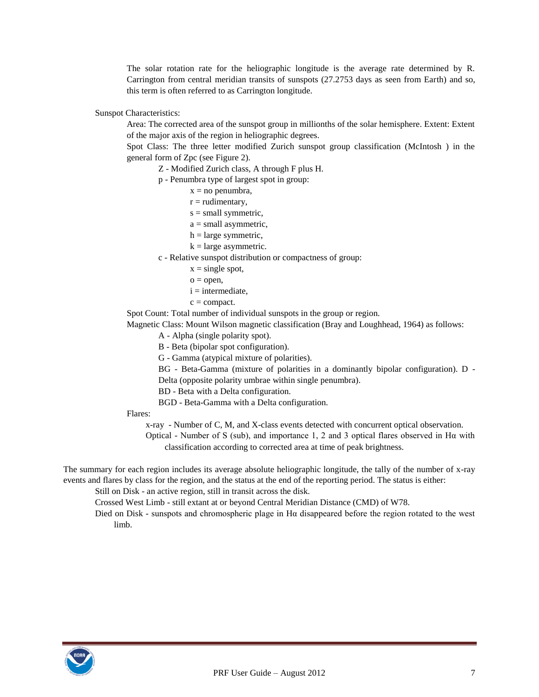The solar rotation rate for the heliographic longitude is the average rate determined by R. Carrington from central meridian transits of sunspots (27.2753 days as seen from Earth) and so, this term is often referred to as Carrington longitude.

Sunspot Characteristics:

Area: The corrected area of the sunspot group in millionths of the solar hemisphere. Extent: Extent of the major axis of the region in heliographic degrees.

Spot Class: The three letter modified Zurich sunspot group classification (McIntosh ) in the general form of Zpc (see Figure 2).

Z - Modified Zurich class, A through F plus H.

p - Penumbra type of largest spot in group:

- $x = no$  penumbra,
- $r =$  rudimentary,
- $s = small symmetric,$
- $a = \text{small asymmetric},$
- $h = large symmetric,$
- $k =$ large asymmetric.

c - Relative sunspot distribution or compactness of group:

- $x = single spot$ ,
- $o = open$ ,
- $i =$  intermediate,
- $c =$ compact.

Spot Count: Total number of individual sunspots in the group or region.

Magnetic Class: Mount Wilson magnetic classification (Bray and Loughhead, 1964) as follows:

A - Alpha (single polarity spot).

B - Beta (bipolar spot configuration).

G - Gamma (atypical mixture of polarities).

BG - Beta-Gamma (mixture of polarities in a dominantly bipolar configuration). D -

Delta (opposite polarity umbrae within single penumbra).

BD - Beta with a Delta configuration.

BGD - Beta-Gamma with a Delta configuration.

Flares:

x-ray - Number of C, M, and X-class events detected with concurrent optical observation.

Optical - Number of S (sub), and importance 1, 2 and 3 optical flares observed in Hα with classification according to corrected area at time of peak brightness.

The summary for each region includes its average absolute heliographic longitude, the tally of the number of x-ray events and flares by class for the region, and the status at the end of the reporting period. The status is either:

Still on Disk - an active region, still in transit across the disk.

Crossed West Limb - still extant at or beyond Central Meridian Distance (CMD) of W78.

Died on Disk - sunspots and chromospheric plage in H $\alpha$  disappeared before the region rotated to the west limb.

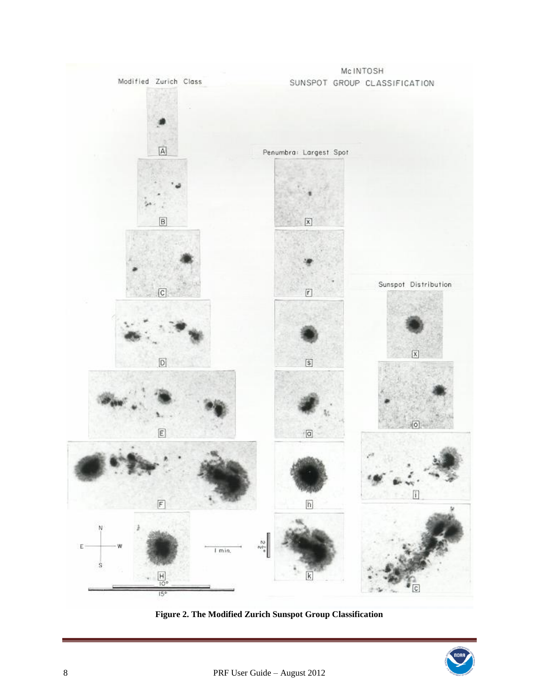

**Figure 2. The Modified Zurich Sunspot Group Classification**

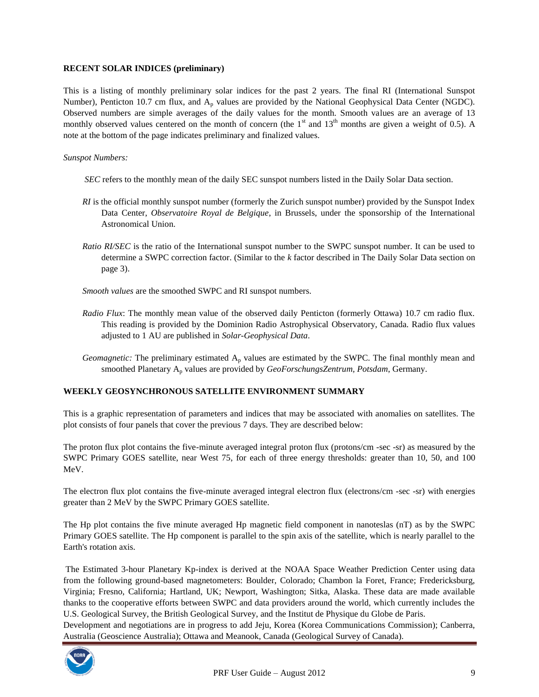### **RECENT SOLAR INDICES (preliminary)**

This is a listing of monthly preliminary solar indices for the past 2 years. The final RI (International Sunspot Number), Penticton 10.7 cm flux, and  $A<sub>p</sub>$  values are provided by the National Geophysical Data Center (NGDC). Observed numbers are simple averages of the daily values for the month. Smooth values are an average of 13 monthly observed values centered on the month of concern (the  $1<sup>st</sup>$  and  $13<sup>th</sup>$  months are given a weight of 0.5). A note at the bottom of the page indicates preliminary and finalized values.

### *Sunspot Numbers:*

- *SEC* refers to the monthly mean of the daily SEC sunspot numbers listed in the Daily Solar Data section.
- *RI* is the official monthly sunspot number (formerly the Zurich sunspot number) provided by the Sunspot Index Data Center, *Observatoire Royal de Belgique*, in Brussels, under the sponsorship of the International Astronomical Union.
- *Ratio RI/SEC* is the ratio of the International sunspot number to the SWPC sunspot number. It can be used to determine a SWPC correction factor. (Similar to the *k* factor described in The Daily Solar Data section on page 3).
- *Smooth values* are the smoothed SWPC and RI sunspot numbers.
- *Radio Flux*: The monthly mean value of the observed daily Penticton (formerly Ottawa) 10.7 cm radio flux. This reading is provided by the Dominion Radio Astrophysical Observatory, Canada. Radio flux values adjusted to 1 AU are published in *Solar-Geophysical Data*.
- *Geomagnetic:* The preliminary estimated  $A_p$  values are estimated by the SWPC. The final monthly mean and smoothed Planetary A<sup>p</sup> values are provided by *GeoForschungsZentrum, Potsdam*, Germany.

# **WEEKLY GEOSYNCHRONOUS SATELLITE ENVIRONMENT SUMMARY**

This is a graphic representation of parameters and indices that may be associated with anomalies on satellites. The plot consists of four panels that cover the previous 7 days. They are described below:

The proton flux plot contains the five-minute averaged integral proton flux (protons/cm -sec -sr) as measured by the SWPC Primary GOES satellite, near West 75, for each of three energy thresholds: greater than 10, 50, and 100 MeV.

The electron flux plot contains the five-minute averaged integral electron flux (electrons/cm -sec -sr) with energies greater than 2 MeV by the SWPC Primary GOES satellite.

The Hp plot contains the five minute averaged Hp magnetic field component in nanoteslas (nT) as by the SWPC Primary GOES satellite. The Hp component is parallel to the spin axis of the satellite, which is nearly parallel to the Earth's rotation axis.

The Estimated 3-hour Planetary Kp-index is derived at the NOAA Space Weather Prediction Center using data from the following ground-based magnetometers: Boulder, Colorado; Chambon la Foret, France; Fredericksburg, Virginia; Fresno, California; Hartland, UK; Newport, Washington; Sitka, Alaska. These data are made available thanks to the cooperative efforts between SWPC and data providers around the world, which currently includes the U.S. Geological Survey, the British Geological Survey, and the Institut de Physique du Globe de Paris.

Development and negotiations are in progress to add Jeju, Korea (Korea Communications Commission); Canberra, Australia (Geoscience Australia); Ottawa and Meanook, Canada (Geological Survey of Canada).

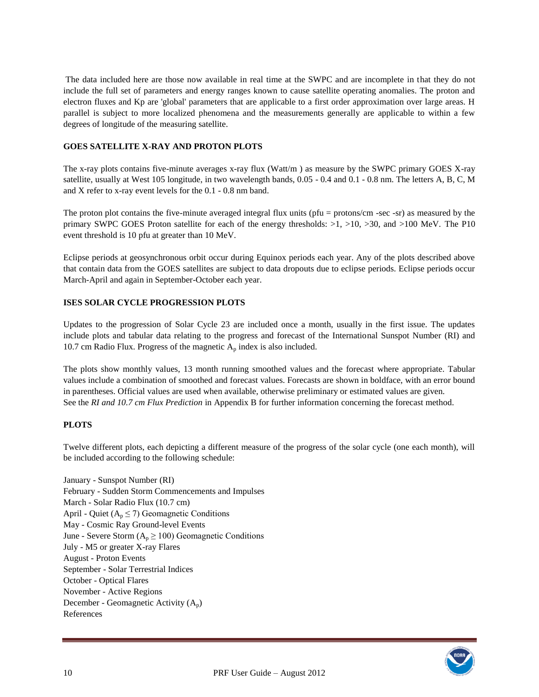The data included here are those now available in real time at the SWPC and are incomplete in that they do not include the full set of parameters and energy ranges known to cause satellite operating anomalies. The proton and electron fluxes and Kp are 'global' parameters that are applicable to a first order approximation over large areas. H parallel is subject to more localized phenomena and the measurements generally are applicable to within a few degrees of longitude of the measuring satellite.

### **GOES SATELLITE X-RAY AND PROTON PLOTS**

The x-ray plots contains five-minute averages x-ray flux (Watt/m ) as measure by the SWPC primary GOES X-ray satellite, usually at West 105 longitude, in two wavelength bands, 0.05 - 0.4 and 0.1 - 0.8 nm. The letters A, B, C, M and X refer to x-ray event levels for the 0.1 - 0.8 nm band.

The proton plot contains the five-minute averaged integral flux units (pfu = protons/cm -sec -sr) as measured by the primary SWPC GOES Proton satellite for each of the energy thresholds: >1, >10, >30, and >100 MeV. The P10 event threshold is 10 pfu at greater than 10 MeV.

Eclipse periods at geosynchronous orbit occur during Equinox periods each year. Any of the plots described above that contain data from the GOES satellites are subject to data dropouts due to eclipse periods. Eclipse periods occur March-April and again in September-October each year.

# **ISES SOLAR CYCLE PROGRESSION PLOTS**

Updates to the progression of Solar Cycle 23 are included once a month, usually in the first issue. The updates include plots and tabular data relating to the progress and forecast of the International Sunspot Number (RI) and 10.7 cm Radio Flux. Progress of the magnetic  $A_p$  index is also included.

The plots show monthly values, 13 month running smoothed values and the forecast where appropriate. Tabular values include a combination of smoothed and forecast values. Forecasts are shown in boldface, with an error bound in parentheses. Official values are used when available, otherwise preliminary or estimated values are given. See the *RI and 10.7 cm Flux Prediction* in Appendix B for further information concerning the forecast method.

#### **PLOTS**

Twelve different plots, each depicting a different measure of the progress of the solar cycle (one each month), will be included according to the following schedule:

January - Sunspot Number (RI) February - Sudden Storm Commencements and Impulses March - Solar Radio Flux (10.7 cm) April - Quiet ( $A_p \le 7$ ) Geomagnetic Conditions May - Cosmic Ray Ground-level Events June - Severe Storm  $(A_p \ge 100)$  Geomagnetic Conditions July - M5 or greater X-ray Flares August - Proton Events September - Solar Terrestrial Indices October - Optical Flares November - Active Regions December - Geomagnetic Activity  $(A_p)$ References

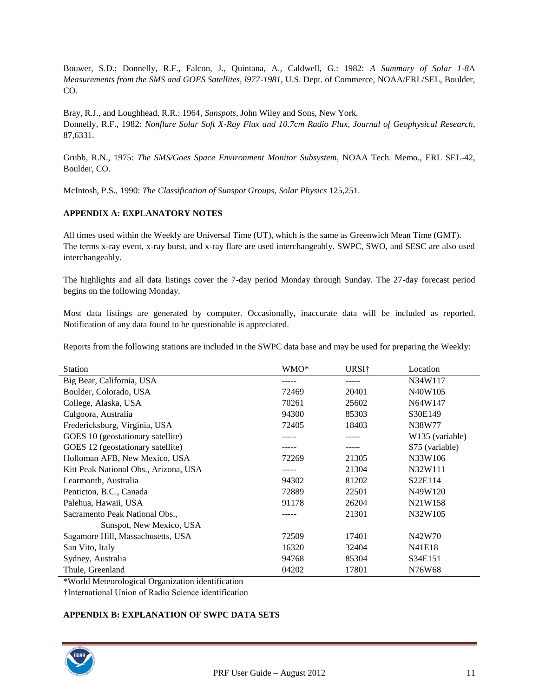Bouwer, S.D.; Donnelly, R.F., Falcon, J., Quintana, A., Caldwell, G.: 1982: *A Summary of Solar 1-8*Α *Measurements from the SMS and GOES Satellites, l977-1981*, U.S. Dept. of Commerce, NOAA/ERL/SEL, Boulder, CO.

Bray, R.J., and Loughhead, R.R.: 1964, *Sunspots*, John Wiley and Sons, New York. Donnelly, R.F., 1982: *Nonflare Solar Soft X-Ray Flux and 10.7cm Radio Flux*, *Journal of Geophysical Research,*  87,6331.

Grubb, R.N., 1975: *The SMS/Goes Space Environment Monitor Subsystem*, NOAA Tech. Memo., ERL SEL-42, Boulder, CO.

McIntosh, P.S., 1990: *The Classification of Sunspot Groups*, *Solar Physics* 125,251.

# **APPENDIX A: EXPLANATORY NOTES**

All times used within the Weekly are Universal Time (UT), which is the same as Greenwich Mean Time (GMT). The terms x-ray event, x-ray burst, and x-ray flare are used interchangeably. SWPC, SWO, and SESC are also used interchangeably.

The highlights and all data listings cover the 7-day period Monday through Sunday. The 27-day forecast period begins on the following Monday.

Most data listings are generated by computer. Occasionally, inaccurate data will be included as reported. Notification of any data found to be questionable is appreciated.

Reports from the following stations are included in the SWPC data base and may be used for preparing the Weekly:

| <b>Station</b>                         | WMO*  | URSI†            | Location                         |  |
|----------------------------------------|-------|------------------|----------------------------------|--|
| Big Bear, California, USA              |       |                  | N34W117                          |  |
| Boulder, Colorado, USA                 | 72469 | 20401            | N <sub>40</sub> W <sub>105</sub> |  |
| College, Alaska, USA                   | 70261 | 25602<br>N64W147 |                                  |  |
| Culgoora, Australia                    | 94300 | S30E149          |                                  |  |
| Fredericksburg, Virginia, USA          | 72405 | 18403            | N38W77                           |  |
| GOES 10 (geostationary satellite)      |       | -----            | W <sub>135</sub> (variable)      |  |
| GOES 12 (geostationary satellite)      |       |                  | S75 (variable)                   |  |
| Holloman AFB, New Mexico, USA          | 72269 | N33W106<br>21305 |                                  |  |
| Kitt Peak National Obs., Arizona, USA  |       | 21304            | N32W111                          |  |
| 81202<br>94302<br>Learmonth, Australia |       | S22E114          |                                  |  |
| Penticton, B.C., Canada                | 72889 | 22501            | N49W120                          |  |
| Palehua, Hawaii, USA                   | 91178 | 26204            | N <sub>2</sub> 1W <sub>158</sub> |  |
| Sacramento Peak National Obs.,         |       | 21301            | N32W105                          |  |
| Sunspot, New Mexico, USA               |       |                  |                                  |  |
| Sagamore Hill, Massachusetts, USA      | 72509 | 17401            | N42W70                           |  |
| San Vito, Italy                        | 16320 | 32404            | N41E18                           |  |
| Sydney, Australia                      | 94768 | 85304            | S34E151                          |  |
| Thule, Greenland                       | 04202 | 17801            | N76W68                           |  |

\*World Meteorological Organization identification

†International Union of Radio Science identification

# **APPENDIX B: EXPLANATION OF SWPC DATA SETS**

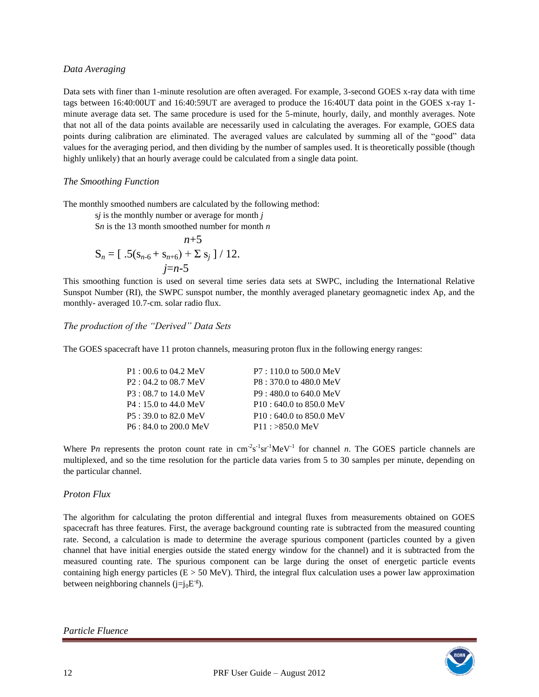### *Data Averaging*

Data sets with finer than 1-minute resolution are often averaged. For example, 3-second GOES x-ray data with time tags between 16:40:00UT and 16:40:59UT are averaged to produce the 16:40UT data point in the GOES x-ray 1 minute average data set. The same procedure is used for the 5-minute, hourly, daily, and monthly averages. Note that not all of the data points available are necessarily used in calculating the averages. For example, GOES data points during calibration are eliminated. The averaged values are calculated by summing all of the "good" data values for the averaging period, and then dividing by the number of samples used. It is theoretically possible (though highly unlikely) that an hourly average could be calculated from a single data point.

# *The Smoothing Function*

The monthly smoothed numbers are calculated by the following method:

s*j* is the monthly number or average for month *j* 

S*n* is the 13 month smoothed number for month *n* 

$$
n+5
$$
  
\n
$$
S_n = [ .5(s_{n-6} + s_{n+6}) + \sum s_j ] / 12.
$$
  
\n
$$
j=n-5
$$

This smoothing function is used on several time series data sets at SWPC, including the International Relative Sunspot Number (RI), the SWPC sunspot number, the monthly averaged planetary geomagnetic index Ap, and the monthly- averaged 10.7-cm. solar radio flux.

# *The production of the "Derived" Data Sets*

The GOES spacecraft have 11 proton channels, measuring proton flux in the following energy ranges:

| $P1:00.6$ to 04.2 MeV                    | $P7:110.0$ to 500.0 MeV   |
|------------------------------------------|---------------------------|
| $P2: 04.2$ to 08.7 MeV                   | P8: 370.0 to 480.0 MeV    |
| $P3:08.7$ to 14.0 MeV                    | $P9:480.0$ to 640.0 MeV   |
| $P4: 15.0$ to 44.0 MeV                   | $P10: 640.0$ to 850.0 MeV |
| $P5:39.0 \text{ to } 82.0 \text{ MeV}$   | $P10: 640.0$ to 850.0 MeV |
| $P6: 84.0 \text{ to } 200.0 \text{ MeV}$ | $P11: >850.0$ MeV         |

Where Pn represents the proton count rate in  $\text{cm}^{-2}\text{s}^{-1}\text{sr}^{-1}\text{MeV}^{-1}$  for channel *n*. The GOES particle channels are multiplexed, and so the time resolution for the particle data varies from 5 to 30 samples per minute, depending on the particular channel.

# *Proton Flux*

The algorithm for calculating the proton differential and integral fluxes from measurements obtained on GOES spacecraft has three features. First, the average background counting rate is subtracted from the measured counting rate. Second, a calculation is made to determine the average spurious component (particles counted by a given channel that have initial energies outside the stated energy window for the channel) and it is subtracted from the measured counting rate. The spurious component can be large during the onset of energetic particle events containing high energy particles ( $E > 50$  MeV). Third, the integral flux calculation uses a power law approximation between neighboring channels (j=j<sub>0</sub>E<sup>-g</sup>).

*Particle Fluence* 

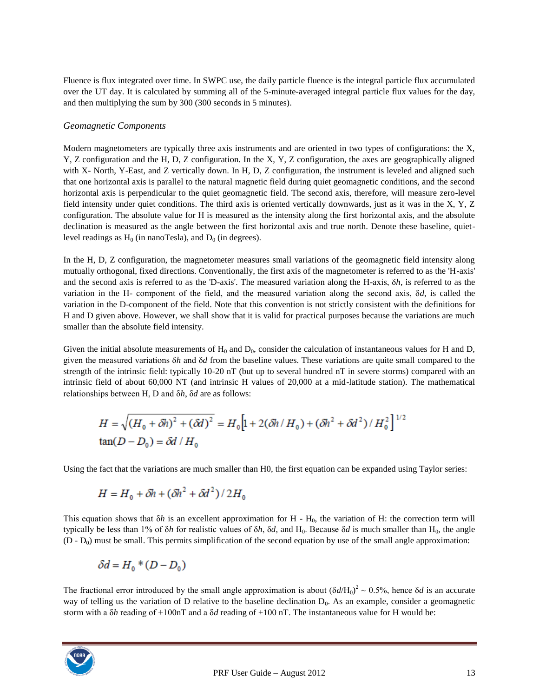Fluence is flux integrated over time. In SWPC use, the daily particle fluence is the integral particle flux accumulated over the UT day. It is calculated by summing all of the 5-minute-averaged integral particle flux values for the day, and then multiplying the sum by 300 (300 seconds in 5 minutes).

### *Geomagnetic Components*

Modern magnetometers are typically three axis instruments and are oriented in two types of configurations: the X, Y, Z configuration and the H, D, Z configuration. In the X, Y, Z configuration, the axes are geographically aligned with X- North, Y-East, and Z vertically down. In H, D, Z configuration, the instrument is leveled and aligned such that one horizontal axis is parallel to the natural magnetic field during quiet geomagnetic conditions, and the second horizontal axis is perpendicular to the quiet geomagnetic field. The second axis, therefore, will measure zero-level field intensity under quiet conditions. The third axis is oriented vertically downwards, just as it was in the X, Y, Z configuration. The absolute value for H is measured as the intensity along the first horizontal axis, and the absolute declination is measured as the angle between the first horizontal axis and true north. Denote these baseline, quietlevel readings as  $H_0$  (in nanoTesla), and  $D_0$  (in degrees).

In the H, D, Z configuration, the magnetometer measures small variations of the geomagnetic field intensity along mutually orthogonal, fixed directions. Conventionally, the first axis of the magnetometer is referred to as the 'H-axis' and the second axis is referred to as the 'D-axis'. The measured variation along the H-axis, δ*h*, is referred to as the variation in the H- component of the field, and the measured variation along the second axis, δ*d*, is called the variation in the D-component of the field. Note that this convention is not strictly consistent with the definitions for H and D given above. However, we shall show that it is valid for practical purposes because the variations are much smaller than the absolute field intensity.

Given the initial absolute measurements of  $H_0$  and  $D_0$ , consider the calculation of instantaneous values for H and D, given the measured variations δ*h* and δ*d* from the baseline values. These variations are quite small compared to the strength of the intrinsic field: typically 10-20 nT (but up to several hundred nT in severe storms) compared with an intrinsic field of about 60,000 NT (and intrinsic H values of 20,000 at a mid-latitude station). The mathematical relationships between H, D and δ*h*, δ*d* are as follows:

$$
H = \sqrt{(H_0 + \delta h)^2 + (\delta d)^2} = H_0 \Big[ 1 + 2(\delta h / H_0) + (\delta h^2 + \delta d^2) / H_0^2 \Big]^{1/2}
$$
  
tan $(D - D_0) = \delta d / H_0$ 

Using the fact that the variations are much smaller than H0, the first equation can be expanded using Taylor series:

$$
H = H_0 + \delta h + (\delta h^2 + \delta d^2)/2H_0
$$

This equation shows that  $\delta h$  is an excellent approximation for H - H<sub>0</sub>, the variation of H: the correction term will typically be less than 1% of  $\delta h$  for realistic values of  $\delta h$ ,  $\delta d$ , and  $H_0$ . Because  $\delta d$  is much smaller than  $H_0$ , the angle  $(D - D_0)$  must be small. This permits simplification of the second equation by use of the small angle approximation:

$$
\delta d = H_0 * (D - D_0)
$$

The fractional error introduced by the small angle approximation is about  $(\delta d / H_0)^2 \sim 0.5$ %, hence  $\delta d$  is an accurate way of telling us the variation of D relative to the baseline declination  $D_0$ . As an example, consider a geomagnetic storm with a δ*h* reading of +100nT and a δ*d* reading of ±100 nT. The instantaneous value for H would be:

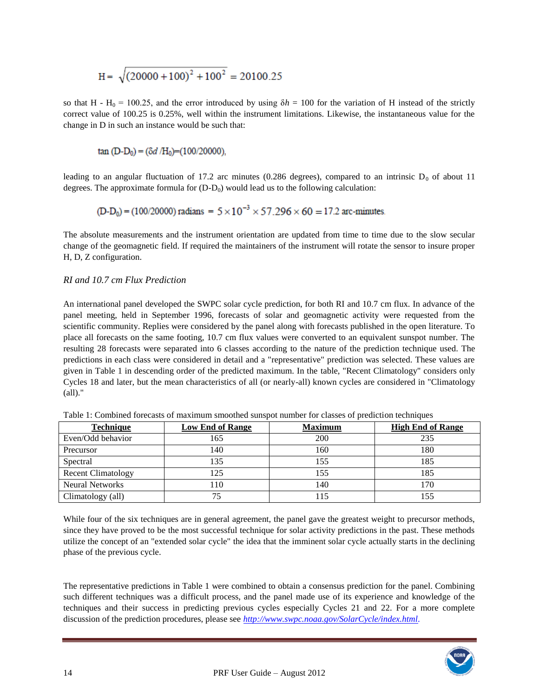$$
H = \sqrt{(20000 + 100)^2 + 100^2} = 20100.25
$$

so that H - H<sub>0</sub> = 100.25, and the error introduced by using  $\delta h = 100$  for the variation of H instead of the strictly correct value of 100.25 is 0.25%, well within the instrument limitations. Likewise, the instantaneous value for the change in D in such an instance would be such that:

tan (D-D<sub>0</sub>) = 
$$
(\delta d / H_0)
$$
 = (100/20000),

leading to an angular fluctuation of 17.2 arc minutes (0.286 degrees), compared to an intrinsic  $D_0$  of about 11 degrees. The approximate formula for  $(D-D_0)$  would lead us to the following calculation:

$$
(D-D_0) = (100/20000) \text{ radians} = 5 \times 10^{-3} \times 57.296 \times 60 = 17.2 \text{ arc-minutes.}
$$

The absolute measurements and the instrument orientation are updated from time to time due to the slow secular change of the geomagnetic field. If required the maintainers of the instrument will rotate the sensor to insure proper H, D, Z configuration.

#### *RI and 10.7 cm Flux Prediction*

An international panel developed the SWPC solar cycle prediction, for both RI and 10.7 cm flux. In advance of the panel meeting, held in September 1996, forecasts of solar and geomagnetic activity were requested from the scientific community. Replies were considered by the panel along with forecasts published in the open literature. To place all forecasts on the same footing, 10.7 cm flux values were converted to an equivalent sunspot number. The resulting 28 forecasts were separated into 6 classes according to the nature of the prediction technique used. The predictions in each class were considered in detail and a "representative" prediction was selected. These values are given in Table 1 in descending order of the predicted maximum. In the table, "Recent Climatology" considers only Cycles 18 and later, but the mean characteristics of all (or nearly-all) known cycles are considered in "Climatology (all)."

| <b>Technique</b>          | <b>Low End of Range</b> | <b>Maximum</b> | <b>High End of Range</b> |  |
|---------------------------|-------------------------|----------------|--------------------------|--|
| Even/Odd behavior         | 165                     | 200            | 235                      |  |
| Precursor                 | 140                     | 160            | 180                      |  |
| Spectral                  | 135                     | 155            | 185                      |  |
| <b>Recent Climatology</b> | 125                     | 155            | 185                      |  |
| <b>Neural Networks</b>    | 110                     | 140            | 70                       |  |
| Climatology (all)         | 75                      | 115            | 55                       |  |

Table 1: Combined forecasts of maximum smoothed sunspot number for classes of prediction techniques

While four of the six techniques are in general agreement, the panel gave the greatest weight to precursor methods, since they have proved to be the most successful technique for solar activity predictions in the past. These methods utilize the concept of an "extended solar cycle" the idea that the imminent solar cycle actually starts in the declining phase of the previous cycle.

The representative predictions in Table 1 were combined to obtain a consensus prediction for the panel. Combining such different techniques was a difficult process, and the panel made use of its experience and knowledge of the techniques and their success in predicting previous cycles especially Cycles 21 and 22. For a more complete discussion of the prediction procedures, please see *[http://www.swpc.noaa.gov/SolarCycle/index.html.](http://www.swpc.noaa.gov/SolarCycle/index.html)* 

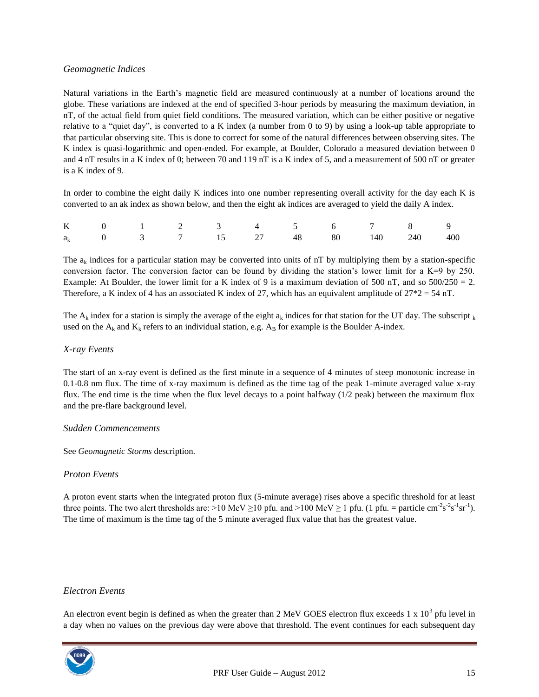# *Geomagnetic Indices*

Natural variations in the Earth's magnetic field are measured continuously at a number of locations around the globe. These variations are indexed at the end of specified 3-hour periods by measuring the maximum deviation, in nT, of the actual field from quiet field conditions. The measured variation, which can be either positive or negative relative to a "quiet day", is converted to a K index (a number from 0 to 9) by using a look-up table appropriate to that particular observing site. This is done to correct for some of the natural differences between observing sites. The K index is quasi-logarithmic and open-ended. For example, at Boulder, Colorado a measured deviation between 0 and 4 nT results in a K index of 0; between 70 and 119 nT is a K index of 5, and a measurement of 500 nT or greater is a K index of 9.

In order to combine the eight daily K indices into one number representing overall activity for the day each K is converted to an ak index as shown below, and then the eight ak indices are averaged to yield the daily A index.

|  |  |  |  | K 0 1 2 3 4 5 6 7 8 9               |  |
|--|--|--|--|-------------------------------------|--|
|  |  |  |  | $a_k$ 0 3 7 15 27 48 80 140 240 400 |  |

The  $a_k$  indices for a particular station may be converted into units of nT by multiplying them by a station-specific conversion factor. The conversion factor can be found by dividing the station's lower limit for a  $K=9$  by 250. Example: At Boulder, the lower limit for a K index of 9 is a maximum deviation of 500 nT, and so  $500/250 = 2$ . Therefore, a K index of 4 has an associated K index of 27, which has an equivalent amplitude of 27\*2 = 54 nT.

The A<sub>k</sub> index for a station is simply the average of the eight  $a_k$  indices for that station for the UT day. The subscript  $k$ used on the  $A_k$  and  $K_k$  refers to an individual station, e.g.  $A_B$  for example is the Boulder A-index.

### *X-ray Events*

The start of an x-ray event is defined as the first minute in a sequence of 4 minutes of steep monotonic increase in 0.1-0.8 nm flux. The time of x-ray maximum is defined as the time tag of the peak 1-minute averaged value x-ray flux. The end time is the time when the flux level decays to a point halfway (1/2 peak) between the maximum flux and the pre-flare background level.

#### *Sudden Commencements*

See *Geomagnetic Storms* description.

#### *Proton Events*

A proton event starts when the integrated proton flux (5-minute average) rises above a specific threshold for at least three points. The two alert thresholds are: >10 MeV  $\geq$ 10 pfu. and >100 MeV  $\geq$  1 pfu. (1 pfu. = particle cm<sup>-2</sup>s<sup>-2</sup>s<sup>-1</sup>sr<sup>-1</sup>). The time of maximum is the time tag of the 5 minute averaged flux value that has the greatest value.

#### *Electron Events*

An electron event begin is defined as when the greater than 2 MeV GOES electron flux exceeds  $1 \times 10^3$  pfu level in a day when no values on the previous day were above that threshold. The event continues for each subsequent day

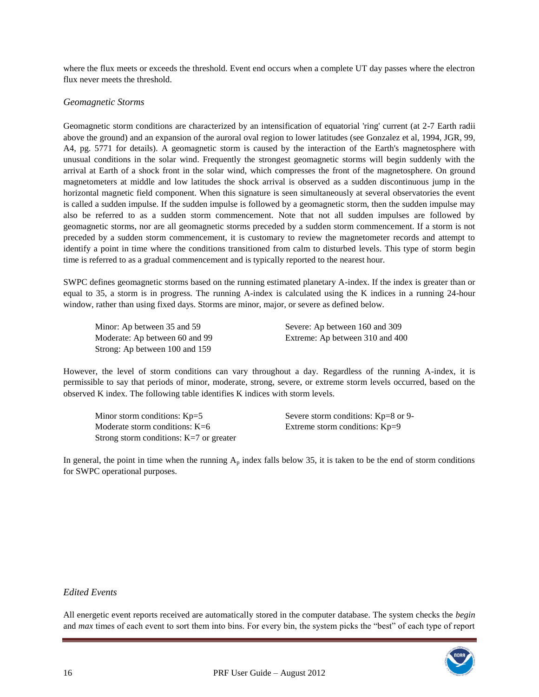where the flux meets or exceeds the threshold. Event end occurs when a complete UT day passes where the electron flux never meets the threshold.

### *Geomagnetic Storms*

Geomagnetic storm conditions are characterized by an intensification of equatorial 'ring' current (at 2-7 Earth radii above the ground) and an expansion of the auroral oval region to lower latitudes (see Gonzalez et al, 1994, JGR, 99, A4, pg. 5771 for details). A geomagnetic storm is caused by the interaction of the Earth's magnetosphere with unusual conditions in the solar wind. Frequently the strongest geomagnetic storms will begin suddenly with the arrival at Earth of a shock front in the solar wind, which compresses the front of the magnetosphere. On ground magnetometers at middle and low latitudes the shock arrival is observed as a sudden discontinuous jump in the horizontal magnetic field component. When this signature is seen simultaneously at several observatories the event is called a sudden impulse. If the sudden impulse is followed by a geomagnetic storm, then the sudden impulse may also be referred to as a sudden storm commencement. Note that not all sudden impulses are followed by geomagnetic storms, nor are all geomagnetic storms preceded by a sudden storm commencement. If a storm is not preceded by a sudden storm commencement, it is customary to review the magnetometer records and attempt to identify a point in time where the conditions transitioned from calm to disturbed levels. This type of storm begin time is referred to as a gradual commencement and is typically reported to the nearest hour.

SWPC defines geomagnetic storms based on the running estimated planetary A-index. If the index is greater than or equal to 35, a storm is in progress. The running A-index is calculated using the K indices in a running 24-hour window, rather than using fixed days. Storms are minor, major, or severe as defined below.

Minor: Ap between 35 and 59 Severe: Ap between 160 and 309 Strong: Ap between 100 and 159

Moderate: Ap between 60 and 99 Extreme: Ap between 310 and 400

However, the level of storm conditions can vary throughout a day. Regardless of the running A-index, it is permissible to say that periods of minor, moderate, strong, severe, or extreme storm levels occurred, based on the observed K index. The following table identifies K indices with storm levels.

Minor storm conditions:  $Kp=5$  Severe storm conditions:  $Kp=8$  or 9-Moderate storm conditions:  $K=6$  Extreme storm conditions:  $Kp=9$ Strong storm conditions: K=7 or greater

In general, the point in time when the running  $A_p$  index falls below 35, it is taken to be the end of storm conditions for SWPC operational purposes.

#### *Edited Events*

All energetic event reports received are automatically stored in the computer database. The system checks the *begin*  and *max* times of each event to sort them into bins. For every bin, the system picks the "best" of each type of report